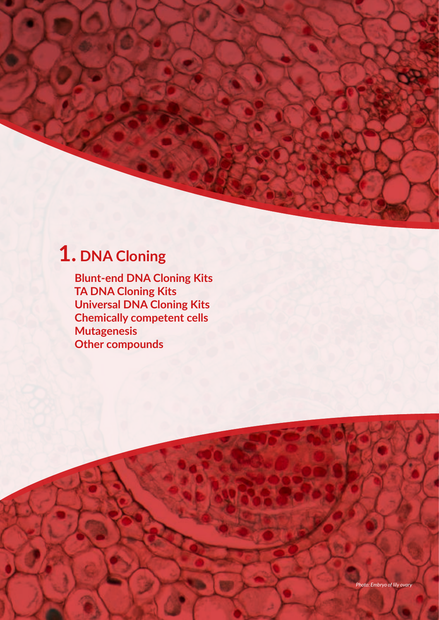# **1. DNA Cloning**

 **Blunt-end DNA Cloning Kits TA DNA Cloning Kits Universal DNA Cloning Kits Chemically competent cells Mutagenesis Other compounds**

 $10$  Molecular Biology Discoveries your Molecular Biology Discoveries ( $\sim$ 

**FS ST SI BULK -80º C -20º C -4º C RT DI GP AT FAQS TIPS RE**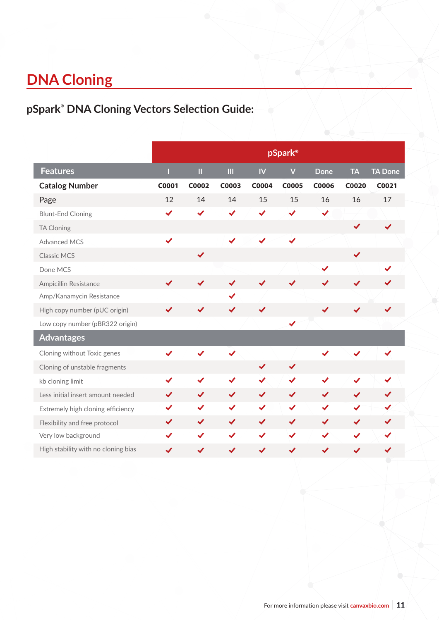# **DNA Cloning**

# **pSpark® DNA Cloning Vectors Selection Guide:**

|                                     |              |                      |              |                      | pSpark®                 |              |                      |                |
|-------------------------------------|--------------|----------------------|--------------|----------------------|-------------------------|--------------|----------------------|----------------|
| <b>Features</b>                     |              | $\boldsymbol{\Pi}$   | $\mathbf{H}$ | IV                   | $\overline{\mathsf{V}}$ | <b>Done</b>  | <b>TA</b>            | <b>TA Done</b> |
| <b>Catalog Number</b>               | C0001        | C0002                | C0003        | C0004                | <b>C0005</b>            | <b>C0006</b> | C0020                | C0021          |
| Page                                | 12           | 14                   | 14           | 15                   | 15                      | 16           | 16                   | 17             |
| <b>Blunt-End Cloning</b>            | $\checkmark$ | $\checkmark$         | ✔            | ✔                    | ✔                       | $\checkmark$ |                      |                |
| <b>TA Cloning</b>                   |              |                      |              |                      |                         |              | $\checkmark$         |                |
| <b>Advanced MCS</b>                 | $\checkmark$ |                      |              |                      |                         |              |                      |                |
| <b>Classic MCS</b>                  |              | $\blacktriangledown$ |              |                      |                         |              | $\checkmark$         |                |
| Done MCS                            |              |                      |              |                      |                         | ✔            |                      | ✔              |
| Ampicillin Resistance               |              | ✔                    |              |                      |                         |              | ✔                    |                |
| Amp/Kanamycin Resistance            |              |                      |              |                      |                         |              |                      |                |
| High copy number (pUC origin)       |              | ✔                    |              | ✔                    |                         |              |                      |                |
| Low copy number (pBR322 origin)     |              |                      |              |                      | $\blacktriangledown$    |              |                      |                |
| <b>Advantages</b>                   |              |                      |              |                      |                         |              |                      |                |
| Cloning without Toxic genes         |              |                      | ✔            |                      |                         |              |                      | ✓              |
| Cloning of unstable fragments       |              |                      |              | $\blacktriangledown$ | $\blacktriangledown$    |              |                      |                |
| kb cloning limit                    | $\checkmark$ | $\checkmark$         | $\checkmark$ | $\checkmark$         | $\checkmark$            |              |                      |                |
| Less initial insert amount needed   | $\checkmark$ | $\blacktriangledown$ | $\checkmark$ | $\checkmark$         | $\checkmark$            | $\checkmark$ | $\checkmark$         | $\checkmark$   |
| Extremely high cloning efficiency   |              | ✔                    |              | $\checkmark$         | ✔                       | ✔            | ✔                    |                |
| Flexibility and free protocol       | ✔            | $\blacktriangledown$ | $\checkmark$ | $\checkmark$         | $\checkmark$            | $\checkmark$ | $\blacktriangledown$ | ✔              |
| Very low background                 | ✔            | $\checkmark$         | ✔            | ✔                    | $\checkmark$            | ✔            | ✔                    |                |
| High stability with no cloning bias | ✔            | ✔                    | ✔            | ✔                    | ✔                       | ✔            | ✔                    | ✔              |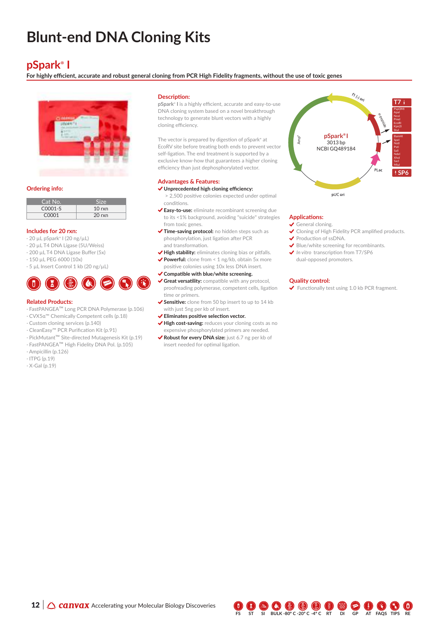# **Blunt-end DNA Cloning Kits**

### **pSpark® I**

**For highly efficient, accurate and robust general cloning from PCR High Fidelity fragments, without the use of toxic genes**



### **Ordering info:**

| Cat No.            | <b>Size</b>      |
|--------------------|------------------|
| $C0001-S$          | $10 \text{ rxn}$ |
| C <sub>0</sub> 001 | $20$ rxn         |

### **Includes for 20 rxn:**

- · 20 µL pSpark**®** I (20 ng/µL)
- · 20 µL T4 DNA Ligase (5U/Weiss)
- · 200 µL T4 DNA Ligase Buffer (5x)
- · 150 µL PEG 6000 (10x) · 5 µL Insert Control 1 kb (20 ng/µL)



### **Related Products:**

- · FastPANGEA™ Long PCR DNA Polymerase (p.106)
- · CVX5α™ Chemically Competent cells (p.18)
- · Custom cloning services (p.140)
- · CleanEasy™ PCR Purification Kit (p.91)
- · PickMutant™ Site-directed Mutagenesis Kit (p.19)
- · FastPANGEA™ High Fidelity DNA Pol. (p.105)
- · Ampicillin (p.126)
- · ITPG (p.19)
- · X-Gal (p.19)

### **Description:**

**pSpark® I** is a highly efficient, accurate and easy-to-use DNA cloning system based on a novel breakthrough technology to generate blunt vectors with a highly cloning efficiency.

The vector is prepared by digestion of pSpark**®** at EcoRV site before treating both ends to prevent vector self-ligation. The end treatment is supported by a exclusive know-how that guarantees a higher cloning efficiency than just dephosphorylated vector.

### **Advantages & Features:**

### **Unprecedented high cloning efficiency:**

- > 2,500 positive colonies expected under optimal conditions.
- **Easy-to-use:** eliminate recombinant screening due to its <1% background, avoiding "suicide" strategies from toxic genes.
- **Time-saving protocol:** no hidden steps such as phosphorylation, just ligation after PCR and transformation.
- **High stability:** eliminates cloning bias or pitfalls. ◆ Powerful: clone from < 1 ng/kb, obtain 5x more positive colonies using 10x less DNA insert.
- **Compatible with blue/white screening.**
- **Great versatility:** compatible with any protocol, proofreading polymerase, competent cells, ligation
- time or primers. ◆ Sensitive: clone from 50 bp insert to up to 14 kb with just 5ng per kb of insert.
- **Eliminates positive selection vector.**
- **High cost-saving:** reduces your cloning costs as no expensive phosphorylated primers are needed.
- **Robust for every DNA size:** just 6.7 ng per kb of insert needed for optimal ligation.



### **Applications:**

- General cloning.
- ◆ Cloning of High Fidelity PCR amplified products.
- ◆ Production of ssDNA.
- Blue/white screening for recombinants.
- **√** *In vitro* transcription from T7/SP6 dual-opposed promoters.

### **Quality control:**

◆ Functionally test using 1.0 kb PCR fragment.

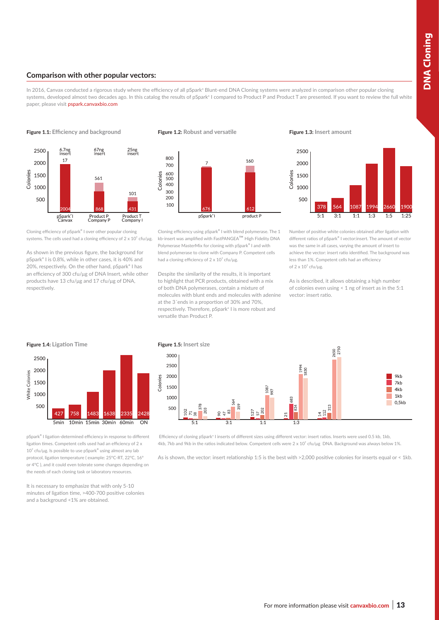### **Comparison with other popular vectors:**

In 2016, Canvax conducted a rigorous study where the efficiency of all pSpark**®** Blunt-end DNA Cloning systems were analyzed in comparison other popular cloning systems, developed almost two decades ago. In this catalog the results of pSpark<sup>®</sup> I compared to Product P and Product T are presented. If you want to review the full white paper, please visit pspark.canvaxbio.com

**Figure 1.1: Efficiency and background**



Cloning efficiency of pSpark**®** I over other popular cloning systems. The cells used had a cloning efficiency of  $2 \times 10^7$  cfu/µg.

As shown in the previous figure, the background for pSpark® I is 0.8%, while in other cases, it is 40% and 20%, respectively. On the other hand, pSpark® I has an efficiency of 300 cfu/μg of DNA Insert, while other products have 13 cfu/μg and 17 cfu/μg of DNA, respectively.





Cloning efficiency using pSpark**®** I with blend polymerase. The 1 kb-insert was amplified with FastPANGEA™ High Fidelity DNA Polymerase MasterMix for cloning with pSpark**®** I and with blend polymerase to clone with Company P. Competent cells had a cloning efficiency of  $2 \times 10^7$  cfu/µg.

Despite the similarity of the results, it is important to highlight that PCR products, obtained with a mix of both DNA polymerases, contain a mixture of molecules with blunt ends and molecules with adenine at the 3´ends in a proportion of 30% and 70%, respectively. Therefore, pSpark**®** I is more robust and versatile than Product P.



Number of positive white colonies obtained after ligation with different ratios of pSpark**®** I vector:insert. The amount of vector was the same in all cases, varying the amount of insert to achieve the vector: insert ratio identified. The background was less than 1%. Competent cells had an efficiency of  $2 \times 10^7$  cfu/μg.

As is described, it allows obtaining a high number of colonies even using < 1 ng of insert as in the 5:1 vector: insert ratio.



pSpark**®** I ligation-determined efficiency in response to different ligation times. Competent cells used had an efficiency of 2 x 10⁷ cfu/μg. Is possible to use pSpark**®** using almost any lab protocol, ligation temperature ( example: 25ºC-RT, 22ºC, 16º or 4ºC ), and it could even tolerate some changes depending on the needs of each cloning task or laboratory resources.

It is necessary to emphasize that with only 5-10 minutes of ligation time, >400-700 positive colonies and a background <1% are obtained.

Colonies



 Efficiency of cloning pSpark**®** I inserts of different sizes using different vector: insert ratios. Inserts were used 0.5 kb, 1kb, 4kb, 7kb and 9kb in the ratios indicated below. Competent cells were  $2 \times 10^7$  cfu/µg DNA. Background was always below 1%.

As is shown, the vector: insert relationship 1:5 is the best with >2,000 positive colonies for inserts equal or < 1kb.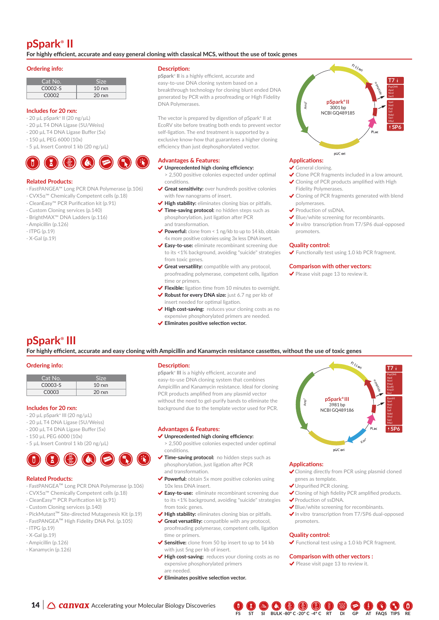## **pSpark® II**

**For highly efficient, accurate and easy general cloning with classical MCS, without the use of toxic genes**

### **Ordering info:**

| Cat No.           | <b>SIZA</b>      |
|-------------------|------------------|
| C0002-S           | $10 \text{ rxn}$ |
| COOO <sub>2</sub> | $20 \text{ rxn}$ |

### **Includes for 20 rxn:**

- · 20 µL pSpark**®** II (20 ng/µL)
- · 20 µL T4 DNA Ligase (5U/Weiss)
- · 200 µL T4 DNA Ligase Buffer (5x)
- · 150 µL PEG 6000 (10x)
- · 5 µL Insert Control 1 kb (20 ng/µL)



### **Related Products:**

- · FastPANGEA™ Long PCR DNA Polymerase (p.106)
- · CVX5α™ Chemically Competent cells (p.18)
- · CleanEasy™ PCR Purification kit (p.91)
- · Custom Cloning services (p.140)
- · BrightMAX™ DNA Ladders (p.116)
- · Ampicillin (p.126)
- · ITPG (p.19)
- $\cdot$  X-Gal (n.19)

### **Description:**

**pSpark® II** is a highly efficient, accurate and easy-to-use DNA cloning system based on a breakthrough technology for cloning blunt ended DNA generated by PCR with a proofreading or High Fidelity DNA Polymerases.

The vector is prepared by digestion of pSpark**®** II at EcoRV site before treating both ends to prevent vector self-ligation. The end treatment is supported by a exclusive know-how that guarantees a higher cloning efficiency than just dephosphorylated vector.

### **Advantages & Features: Applications:**

- **Unprecedented high cloning efficiency:**  > 2,500 positive colonies expected under optimal conditions.
- **Great sensitivity:** over hundreds positive colonies with few nanograms of insert.
- ◆ High stability: eliminates cloning bias or pitfalls. **Time-saving protocol:** no hidden steps such as
- phosphorylation, just ligation after PCR and transformation.
- ◆ Powerful: clone from < 1 ng/kb to up to 14 kb, obtain 4x more positive colonies using 3x less DNA insert.
- **Easy-to-use:** eliminate recombinant screening due to its <1% background, avoiding "suicide" strategies from toxic genes.
- **Great versatility:** compatible with any protocol, proofreading polymerase, competent cells, ligation time or primers.
- **Flexible:** ligation time from 10 minutes to overnight.
- **Robust for every DNA size:** just 6.7 ng per kb of insert needed for optimal ligation.
- **High cost-saving:** reduces your cloning costs as no expensive phosphorylated primers are needed.
- **Eliminates positive selection vector.**



- General cloning.
- ◆ Clone PCR fragments included in a low amount. ◆ Cloning of PCR products amplified with High
- Fidelity Polymerases.
- ◆ Cloning of PCR fragments generated with blend polymerases.
- Production of ssDNA.
- Blue/white screening for recombinants.
- *In vitro* transcription from T7/SP6 dual-opposed promoters.

### **Quality control:**

◆ Functionally test using 1.0 kb PCR fragment.

### **Comparison with other vectors:**

◆ Please visit page 13 to review it.

### **pSpark® III**

**For highly efficient, accurate and easy cloning with Ampicillin and Kanamycin resistance cassettes, without the use of toxic genes** 

### **Ordering info:**

| Cat No. | <b>SIZA</b>      |
|---------|------------------|
| C0003-S | $10$ rxn         |
| C0003   | $20 \text{ rxn}$ |

### **Includes for 20 rxn:**

- · 20 µL pSpark**®** III (20 ng/µL)
- · 20 µL T4 DNA Ligase (5U/Weiss)
- · 200 µL T4 DNA Ligase Buffer (5x)
- · 150 µL PEG 6000 (10x)
- · 5 µL Insert Control 1 kb (20 ng/µL)



### **Related Products:**

- · FastPANGEA™ Long PCR DNA Polymerase (p.106)
- · CVX5α™ Chemically Competent cells (p.18)
- · CleanEasy™ PCR Purification kit (p.91)
- · Custom Cloning services (p.140)
- · PickMutant™ Site-directed Mutagenesis Kit (p.19)
- · FastPANGEA™ High Fidelity DNA Pol. (p.105)
- · ITPG (p.19)
- · X-Gal (p.19)
- · Ampicillin (p.126)
- · Kanamycin (p.126)

### **Description:**

**pSpark® III** is a highly efficient, accurate and easy-to-use DNA cloning system that combines Ampicillin and Kanamycin resistance. Ideal for cloning PCR products amplified from any plasmid vector without the need to gel-purify bands to eliminate the background due to the template vector used for PCR.

### **Advantages & Features:**

#### **Unprecedented high cloning efficiency:**

- > 2,500 positive colonies expected under optimal conditions.
- **Time-saving protocol:** no hidden steps such as phosphorylation, just ligation after PCR and transformation.
- **Powerful:** obtain 5x more positive colonies using 10x less DNA insert.
- **Easy-to-use:** eliminate recombinant screening due to its <1% background, avoiding "suicide" strategies from toxic genes.
- **High stability:** eliminates cloning bias or pitfalls.
- **√ Great versatility:** compatible with any protocol, proofreading polymerase, competent cells, ligation time or primers.
- ◆ Sensitive: clone from 50 bp insert to up to 14 kb with just 5ng per kb of insert.
- **High cost-saving:** reduces your cloning costs as no expensive phosphorylated primers are needed.
- **Eliminates positive selection vector.**



pUC ori

### **Applications:**

- Cloning directly from PCR using plasmid cloned genes as template.
- Unpurified PCR cloning.
- Cloning of high fidelity PCR amplified products.
- Production of ssDNA.
- Blue/white screening for recombinants.
- *In vitro* transcription from T7/SP6 dual-opposed promoters.

### **Quality control:**

◆ Functional test using a 1.0 kb PCR fragment.

#### **Comparison with other vectors :**

 $\blacktriangleright$  Please visit page 13 to review it.



- 
-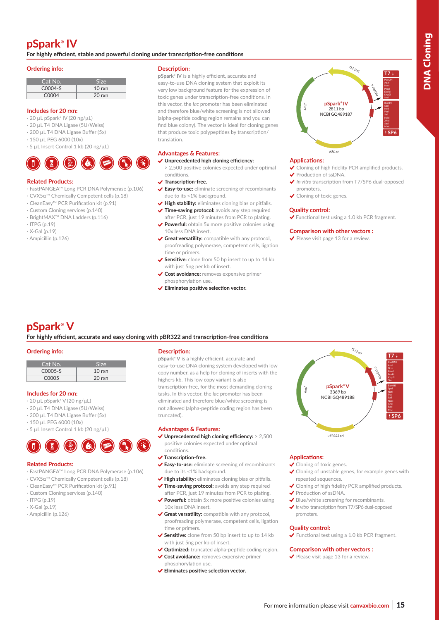## **pSpark® IV**

**For highly efficient, stable and powerful cloning under transcription-free conditions**

### **Ordering info:**

| Cat No.           | <b>Size</b>      |
|-------------------|------------------|
| C0004-S           | $10 \text{ rxn}$ |
| C <sub>0004</sub> | $20 \text{ rxn}$ |

### **Includes for 20 rxn:**

- · 20 µL pSpark**®** IV (20 ng/µL)
- · 20 µL T4 DNA Ligase (5U/Weiss)
- · 200 µL T4 DNA Ligase Buffer (5x)
- · 150 µL PEG 6000 (10x)
- · 5 µL Insert Control 1 kb (20 ng/µL)



### **Related Products:**

- · FastPANGEA™ Long PCR DNA Polymerase (p.106)
- · CVX5α™ Chemically Competent cells (p.18)
- · CleanEasy™ PCR Purification kit (p.91)
- · Custom Cloning services (p.140)
- · BrightMAX™ DNA Ladders (p.116)
- $\cdot$  ITPG (p.19)
- $\cdot$  X-Gal (p.19)
- · Ampicillin (p.126)

### **Description:**

**pSpark® IV** is a highly efficient, accurate and easy-to-use DNA cloning system that exploit its very low background feature for the expression of toxic genes under transcription-free conditions. In this vector, the *lac* promoter has been eliminated and therefore blue/white screening is not allowed (alpha-peptide coding region remains and you can find blue colony). The vector is ideal for cloning genes that produce toxic polypeptides by transcription/ translation.

### **Advantages & Features:**

- **Unprecedented high cloning efficiency:**
- > 2,500 positive colonies expected under optimal conditions.
- **Transcription-free.**
- **Easy-to-use:** eliminate screening of recombinants due to its <1% background.
- ◆ High stability: eliminates cloning bias or pitfalls. ◆ Time-saving protocol: avoids any step required
- after PCR, just 19 minutes from PCR to plating. ◆ Powerful: obtain 5x more positive colonies using 10x less DNA insert.
- **Great versatility:** compatible with any protocol, proofreading polymerase, competent cells, ligation time or primers.
- **Sensitive:** clone from 50 bp insert to up to 14 kb with just 5ng per kb of insert.
- **Cost avoidance:** removes expensive primer phosphorylation use.
- **Eliminates positive selection vector.**



### **Applications:**

- ◆ Cloning of high fidelity PCR amplified products. Production of ssDNA.
- *In vitro* transcription from T7/SP6 dual-opposed
- promoters. ◆ Cloning of toxic genes.

### **Quality control:**

◆ Functional test using a 1.0 kb PCR fragment.

### **Comparison with other vectors :**

 $\blacktriangleright$  Please visit page 13 for a review.

## **pSpark® V**

**For highly efficient, accurate and easy cloning with pBR322 and transcription-free conditions**

### **Ordering info:**

| Cat No. | Size             |
|---------|------------------|
| C0005-S | $10 \text{ rxn}$ |
| C0005   | $20 \text{ rxn}$ |

### **Includes for 20 rxn:**

- · 20 µL pSpark**®** V (20 ng/µL)
- · 20 µL T4 DNA Ligase (5U/Weiss)
- · 200 µL T4 DNA Ligase Buffer (5x)
- · 150 µL PEG 6000 (10x)
- · 5 µL Insert Control 1 kb (20 ng/µL)



### **Related Products:**

- · FastPANGEA™ Long PCR DNA Polymerase (p.106)
- · CVX5α™ Chemically Competent cells (p.18)
- · CleanEasy™ PCR Purification kit (p.91)
- · Custom Cloning services (p.140)
- · ITPG (p.19)
- $\cdot$  X-Gal (n.19)
- · Ampicillin (p.126)

### **Description:**

**pSpark® V** is a highly efficient, accurate and easy-to-use DNA cloning system developed with low copy number, as a help for cloning of inserts with the highers kb. This low copy variant is also transcription-free, for the most demanding cloning tasks. In this vector, the *lac* promoter has been eliminated and therefore blue/white screening is not allowed (alpha-peptide coding region has been truncated).

### **Advantages & Features:**

 **Unprecedented high cloning efficiency:** > 2,500 positive colonies expected under optimal

#### conditions.  **Transcription-free.**

- **Easy-to-use:** eliminate screening of recombinants due to its <1% background.
- ◆ High stability: eliminates cloning bias or pitfalls.  **Time-saving protocol:** avoids any step required
- after PCR, just 19 minutes from PCR to plating.
- ◆ Powerful: obtain 5x more positive colonies using 10x less DNA insert.
- **Great versatility:** compatible with any protocol, proofreading polymerase, competent cells, ligation time or primers.
- ◆ Sensitive: clone from 50 bp insert to up to 14 kb with just 5ng per kb of insert.
- ◆ Optimized: truncated alpha-peptide coding region.  **Cost avoidance:** removes expensive primer
- phosphorylation use.
- **Eliminates positive selection vector.**



### **Applications:**

- ◆ Cloning of toxic genes.
- Cloning of unstable genes, for example genes with repeated sequences.
- ◆ Cloning of high fidelity PCR amplified products. ◆ Production of ssDNA.
- Blue/white screening for recombinants.
- *In vitro* transcription from T7/SP6 dual-opposed promoters.

### **Quality control:**

◆ Functional test using a 1.0 kb PCR fragment.

### **Comparison with other vectors :**

 $\blacktriangleright$  Please visit page 13 for a review.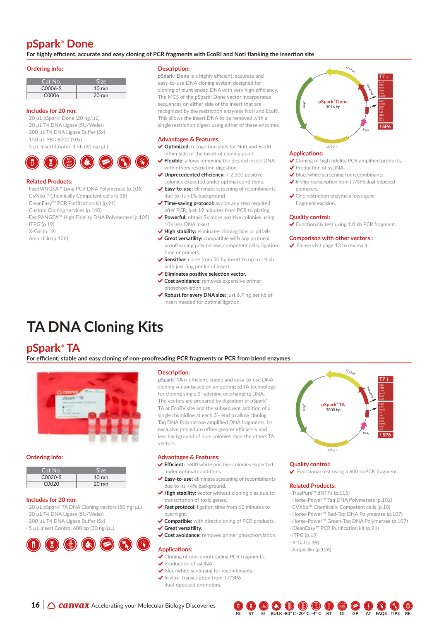### **pSpark® Done**

**For highly efficient, accurate and easy cloning of PCR fragments with EcoRI and NotI flanking the insertion site**

### **Ordering info:**

| Cat No. | Size             |
|---------|------------------|
| C0006-S | $10 \text{ rxn}$ |
| C0006   | $20 \text{ rxn}$ |

### **Includes for 20 rxn:**

- · 20 µL pSpark**®** Done (20 ng/µL)
- · 20 µL T4 DNA Ligase (5U/Weiss)
- · 200 µL T4 DNA Ligase Buffer (5x)
- · 150 µL PEG 6000 (10x)
- · 5 µL Insert Control 1 kb (20 ng/µL)



### **Related Products:**

- · FastPANGEA™ Long PCR DNA Polymerase (p.106)
- · CVX5α™ Chemically Competent cells (p.18)
- · CleanEasy™ PCR Purification kit (p.91)
- · Custom Cloning services (p.140)
- · FastPANGEA™ High Fidelity DNA Polymerase (p.105)
- $\cdot$  ITPG (p.19)
- · X-Gal (p.19)
- · Ampicillin (p.126)

### **Description:**

**pSpark® Done** is a highly efficient, accurate and easy-to-use DNA cloning system designed for cloning of blunt ended DNA with very high efficiency. The MCS of the pSpark**®** Done vector incorporates sequences on either side of the insert that are recognized by the restriction enzymes NotI and EcoRI. This allows the insert DNA to be removed with a single restriction digest using either of these enzymes.

### **Advantages & Features:**

- ◆ Optimized: recognition sites for NotI and EcoRI either side of the insert of cloning point.
- ◆ Flexible: allows removing the desired insert DNA with others restriction digestion.
- ◆ Unprecedented efficiency: > 2,500 positive colonies expected under optimal conditions.
- **Easy-to-use:** eliminate screening of recombinants due to its <1% background.
- **√ Time-saving protocol:** avoids any step required after PCR, just 19 minutes from PCR to plating.
- ◆ **Powerful:** obtain 5x more positive colonies using 10x less DNA insert.
- ◆ High stability: eliminates cloning bias or pitfalls.
- **Great versatility:** compatible with any protocol, proofreading polymerase, competent cells, ligation time or primers.
- ◆ Sensitive: clone from 50 bp insert to up to 14 kb with just 5ng per kb of insert.
- **Eliminates positive selection vector.**
- **Cost avoidance:** removes expensive primer phosphorylation use.
- ◆ Robust for every DNA size: just 6.7 ng per kb of insert needed for optimal ligation.

#### **pSpark® Done** 3016 bp **T7**  $\overline{S}$ Apal Sphl Nco **Not** Sarl **EcoR** Spel **EcoR Not** Sall Sacl Mlul Amp<sup>r</sup>  $f_{7/ \zeta_{\vert_{O_{r}}}}$ PLac α-peptide

### **Applications:**

- ◆ Cloning of high fidelity PCR amplified products. ◆ Production of ssDNA.
- Blue/white screening for recombinants.
- *In vitro* transcription from T7/SP6 dual-opposed promoters.
- ◆ One restriction enzyme allows gene fragment excision.

pUC or

### **Quality control:**

◆ Functionally test using 1.0 kb PCR fragment.

### **Comparison with other vectors :**

 $\blacktriangleright$  Please visit page 13 to review it.

# **TA DNA Cloning Kits**

### **pSpark® TA**

**For efficient, stable and easy cloning of non-proofreading PCR fragments or PCR from blend enzymes**



### **Ordering info:**

| Cat No.        | <b>Size</b>      |
|----------------|------------------|
| $C_{0}020 - S$ | $10 \text{ rxn}$ |
| C0020          | $20 \text{ rxn}$ |

#### **Includes for 20 rxn:**

- · 20 µL pSpark**®** TA DNA Cloning vectors (50 ng/µL)
- · 20 µL T4 DNA Ligase (5U/Weiss)
- · 200 µL T4 DNA Ligase Buffer (5x)
- · 5 µL Insert Control 600 bp (30 ng/µL)



#### **Description:**

**pSpark® TA** is efficient, stable and easy-to-use DNA cloning vector based on an optimized TA technology for cloning single 3'-adenine overhanging DNA. The vectors are prepared by digestion of pSpark**®** TA at EcoRV site and the subsequent addition of a single thymidine at each 3'- end to allow cloning Taq DNA Polymerase amplified DNA fragments. Its exclusive procedure offers greater efficiency and less background of blue colonies than the others TA vectors.

### **Advantages & Features:**

- **Efficient:** >600 white positive colonies expected under optimal conditions.
- **Easy-to-use:** eliminate screening of recombinants due to its <4% background.
- **High stability:** vector without cloning bias due to transcription of toxic genes.
- **Fast protocol:** ligation time from 60 minutes to overnight.
- **Compatible:** with direct cloning of PCR products. **Great versatility.**
- **Cost avoidance:** removes primer phosphorylation.

### **Applications:**

- ◆ Cloning of non-proofreading PCR fragments.
- ◆ Production of ssDNA.
- Blue/white screening for recombinants. *In vitro* transcription from T7/SP6
- dual-opposed promoters.
- 



### **Quality control:**

◆ Functional test using a 600 bpPCR fragment.

### **Related Products:**

- · TruePure™ dNTPs (p.115)
- · Horse-Power™ Taq DNA Polymerase (p.102)
- · CVX5α™ Chemically Competent cells (p.18)
- · Horse-Power™ Red-Taq DNA Polymerase (p.107)
- · Horse-Power™ Green-Taq DNA Polymerase (p.107)
- · CleanEasy™ PCR Purification kit (p.91)
- $\cdot$  ITPG (p.19)
- · X-Gal (p.19)
- · Ampicillin (p.126)

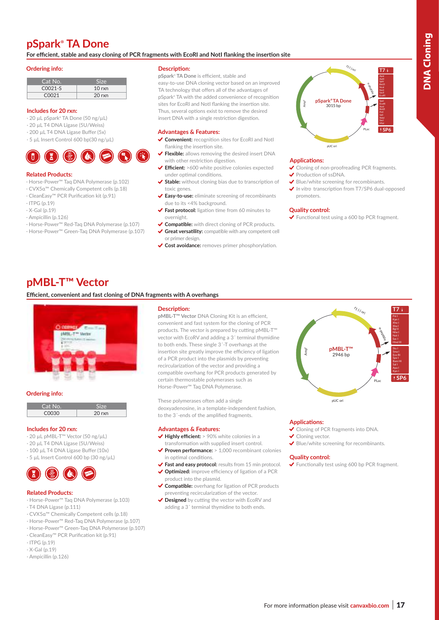### **pSpark® TA Done**

**For efficient, stable and easy cloning of PCR fragments with EcoRI and NotI flanking the insertion site**

### **Ordering info:**

| Cat No. | Size             |
|---------|------------------|
| C0021-S | $10 \text{ rxn}$ |
| 00021   | $20 \text{ rxn}$ |

### **Includes for 20 rxn:**

- · 20 µL pSpark**®** TA Done (50 ng/µL)
- · 20 µL T4 DNA Ligase (5U/Weiss)
- · 200 µL T4 DNA Ligase Buffer (5x)
- · 5 µL Insert Control 600 bp(30 ng/µL)

### **Related Products:**

- · Horse-Power™ Taq DNA Polymerase (p.102)
- · CVX5α™ Chemically Competent cells (p.18)
- · CleanEasy™ PCR Purification kit (p.91)
- $\cdot$  ITPG (p.19)
- · X-Gal (p.19)
- · Ampicillin (p.126)
- · Horse-Power™ Red-Taq DNA Polymerase (p.107)
- · Horse-Power™ Green-Taq DNA Polymerase (p.107)

### **Description:**

**pSpark® TA Done** is efficient, stable and easy-to-use DNA cloning vector based on an improved TA technology that offers all of the advantages of pSpark**®** TA with the added convenience of recognition sites for EcoRI and NotI flanking the insertion site. Thus, several options exist to remove the desired insert DNA with a single restriction digestion.

### **Advantages & Features:**

- ◆ Convenient: recognition sites for EcoRI and NotI flanking the insertion site.
- **Flexible:** allows removing the desired insert DNA with other restriction digestion.
- **Efficient:** >600 white positive colonies expected under optimal conditions.
- ◆ Stable: without cloning bias due to transcription of toxic genes.
- **Easy-to-use:** eliminate screening of recombinants due to its <4% background.
- **Fast protocol:** ligation time from 60 minutes to overnight.
- **Compatible:** with direct cloning of PCR products. **Great versatility:** compatible with any competent cell
- or primer design.
- **Cost avoidance:** removes primer phosphorylation.



### **Applications:**

- ◆ Cloning of non-proofreading PCR fragments. ◆ Production of ssDNA.
- 
- Blue/white screening for recombinants. ◆ In vitro transcription from T7/SP6 dual-opposed promoters.

#### **Quality control:**

◆ Functional test using a 600 bp PCR fragment.

### **pMBL-T™ Vector**

### **Efficient, convenient and fast cloning of DNA fragments with A overhangs**



#### **Ordering info:**

| 'Cat No. |                  |
|----------|------------------|
| COUSU    | $20 \text{ rxn}$ |

### **Includes for 20 rxn:**

- · 20 µL pMBL-T™ Vector (50 ng/µL)
- · 20 µL T4 DNA Ligase (5U/Weiss)
- · 100 µL T4 DNA Ligase Buffer (10x)
- · 5 µL Insert Control 600 bp (30 ng/µL)



#### **Related Products:**

- · Horse-Power™ Taq DNA Polymerase (p.103)
- · T4 DNA Ligase (p.111)
- · CVX5α™ Chemically Competent cells (p.18)
- · Horse-Power™ Red-Taq DNA Polymerase (p.107)
- · Horse-Power™ Green-Taq DNA Polymerase (p.107)
- · CleanEasy™ PCR Purification kit (p.91)
- $\cdot$  ITPG (p.19)
- $\cdot$  X-Gal (p.19)
- · Ampicillin (p.126)

### **Description:**

**pMBL-T™ Vector** DNA Cloning Kit is an efficient, convenient and fast system for the cloning of PCR products. The vector is prepared by cutting pMBL-T<sup>™</sup> vector with EcoRV and adding a 3´ terminal thymidine to both ends. These single 3´-T overhangs at the insertion site greatly improve the efficiency of ligation of a PCR product into the plasmids by preventing recircularization of the vector and providing a compatible overhang for PCR products generated by certain thermostable polymerases such as Horse-Power™ Taq DNA Polymerase.

These polymerases often add a single deoxyadenosine, in a template-independent fashion, to the 3´-ends of the amplified fragments.

### **Advantages & Features:**

- ◆ Highly efficient: > 90% white colonies in a transformation with supplied insert control.
- ◆ Proven performance: > 1,000 recombinant colonies in optimal conditions.
- **Fast and easy protocol:** results from 15 min protocol. ◆ Optimized: improve efficiency of ligation of a PCR
- product into the plasmid.
- **Compatible:** overhang for ligation of PCR products preventing recircularization of the vector.
- ◆ Designed by cutting the vector with EcoRV and adding a 3´ terminal thymidine to both ends.



### **Applications:**

- ◆ Cloning of PCR fragments into DNA
- ◆ Cloning vector.
- Blue/white screening for recombinants.

### **Quality control:**

◆ Functionally test using 600 bp PCR fragment.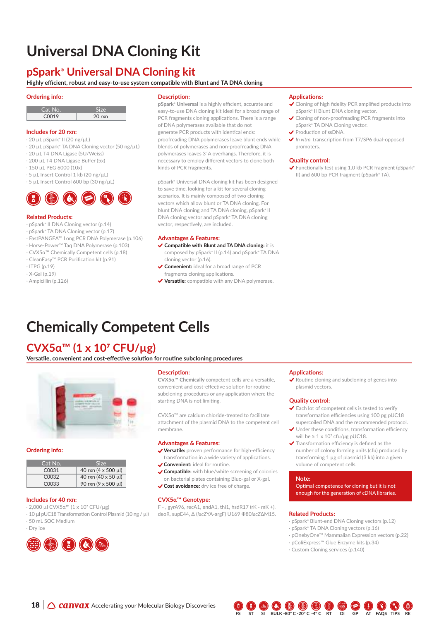# **Universal DNA Cloning Kit**

### **pSpark® Universal DNA Cloning kit**

### **Highly efficient, robust and easy-to-use system compatible with Blunt and TA DNA cloning**

### **Ordering info:**

| Cat No.           |          |
|-------------------|----------|
| C <sub>0019</sub> | $20$ rxn |

### **Includes for 20 rxn:**

- · 20 µL pSpark**®** II (20 ng/µL)
- · 20 µL pSpark**®** TA DNA Cloning vector (50 ng/µL)
- · 20 µL T4 DNA Ligase (5U/Weiss)
- · 200 µL T4 DNA Ligase Buffer (5x)
- · 150 µL PEG 6000 (10x)
- · 5 µL Insert Control 1 kb (20 ng/µL)
- · 5 µL Insert Control 600 bp (30 ng/µL)

### **Related Products:**

- · pSpark**®** II DNA Cloning vector (p.14)
- · pSpark**®** TA DNA Cloning vector (p.17)
- · FastPANGEA™ Long PCR DNA Polymerase (p.106)
- · Horse-Power™ Taq DNA Polymerase (p.103)
- · CVX5α™ Chemically Competent cells (p.18)
- · CleanEasy™ PCR Purification kit (p.91)
- · ITPG (p.19)
- $\cdot$  X-Gal (n.19)
- · Ampicillin (p.126)

### **Description:**

**pSpark® Universal** is a highly efficient, accurate and easy-to-use DNA cloning kit ideal for a broad range of PCR fragments cloning applications. There is a range of DNA polymerases available that do not generate PCR products with identical ends: proofreading DNA polymerases leave blunt ends while blends of polymerases and non-proofreading DNA polymerases leaves 3´A overhangs. Therefore, it is necessary to employ different vectors to clone both kinds of PCR fragments.

pSpark**®** Universal DNA cloning kit has been designed to save time, looking for a kit for several cloning scenarios. It is mainly composed of two cloning vectors which allow blunt or TA DNA cloning. For blunt DNA cloning and TA DNA cloning, pSpark**®** II DNA cloning vector and pSpark**®** TA DNA cloning vector, respectively, are included.

### **Advantages & Features:**

- **Compatible with Blunt and TA DNA cloning:** it is composed by pSpark**®** II (p.14) and pSpark**®** TA DNA cloning vector (p.16).
- **Convenient:** ideal for a broad range of PCR
- fragments cloning applications. **Versatile:** compatible with any DNA polymerase.

### **Applications:**

- Cloning of high fidelity PCR amplified products into pSpark**®** II Blunt DNA cloning vector.
- ◆ Cloning of non-proofreading PCR fragments into pSpark**®** TA DNA Cloning vector.
- Production of ssDNA.
- *In vitro* transcription from T7/SP6 dual-opposed promoters.

### **Quality control:**

◆ Functionally test using 1.0 kb PCR fragment (pSpark<sup>®</sup> II) and 600 bp PCR fragment (pSpark**®** TA).

# **Chemically Competent Cells**

### **CVX5α™ (1 x 107 CFU/µg)**

**Versatile, convenient and cost-effective solution for routine subcloning procedures**



### **Ordering info:**

| Cat No.            | Size                |
|--------------------|---------------------|
| C <sub>0031</sub>  | 40 rxn (4 x 500 μl) |
| C <sub>00</sub> 32 | 40 rxn (40 x 50 ul) |
| C <sub>0033</sub>  | 90 rxn (9 x 500 μl) |

### **Includes for 40 rxn:**

- · 2,000 µl CVX5α™ (1 x 107 CFU/µg)
- · 10 µl pUC18 Transformation Control Plasmid (10 ng / µl)
- · 50 mL SOC Medium
- · Dry ice



### **Description:**

**CVX5α™ Chemically** competent cells are a versatile, convenient and cost-effective solution for routine subcloning procedures or any application where the starting DNA is not limiting.

CVX5α™ are calcium chloride-treated to facilitate attachment of the plasmid DNA to the competent cell membrane.

### **Advantages & Features:**

- **Versatile:** proven performance for high-efficiency transformation in a wide variety of applications.
- **Convenient:** ideal for routine.
- **Compatible:** with blue/white screening of colonies on bacterial plates containing Bluo-gal or X-gal.
- **Cost avoidance:** dry ice free of charge.

### **CVX5α™ Genotype:**

 $F -$ , gyrA96, recA1, endA1, thi1, hsdR17 (rK - mK +), deoR, supE44, Δ (*lacZ*YA-argF) U169 Ф80*lacZ*ΔM15.

### **Applications:**

 Routine cloning and subcloning of genes into plasmid vectors.

### **Quality control:**

- Each lot of competent cells is tested to verify transformation efficiencies using 100 pg pUC18 supercoiled DNA and the recommended protocol.
- ◆ Under these conditions, transformation efficiency will be  $\geq 1 \times 10^7$  cfu/μg pUC18.
- $\blacktriangleright$  Transformation efficiency is defined as the number of colony forming units (cfu) produced by transforming 1 μg of plasmid (3 kb) into a given volume of competent cells.

### **Note:**

Optimal competence for cloning but it is not enough for the generation of cDNA libraries.

### **Related Products:**

- · pSpark**®** Blunt-end DNA Cloning vectors (p.12)
- · pSpark**®** TA DNA Cloning vectors (p.16)
- · pOnebyOne™ Mammalian Expression vectors (p.22)
- · pColiExpress™ Glue Enzyme kits (p.34)
- · Custom Cloning services (p.140)